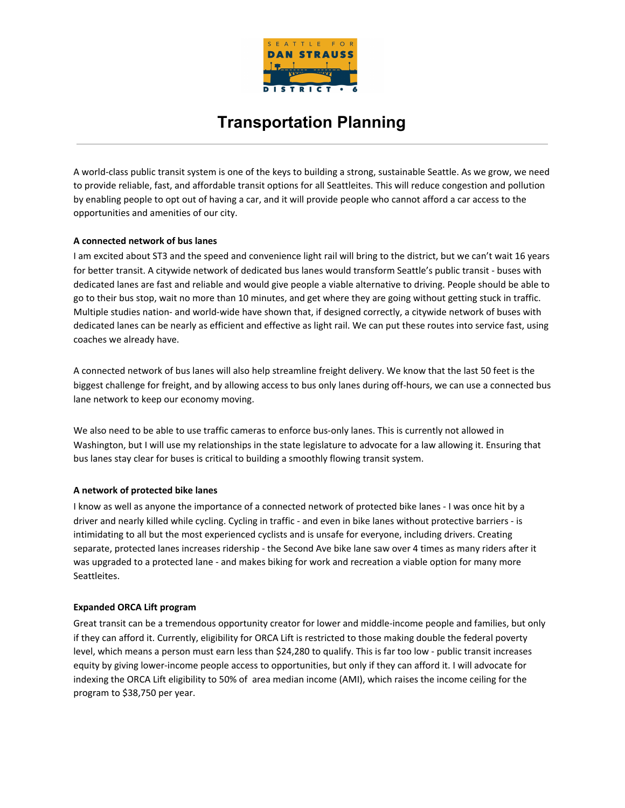

## **Transportation Planning**

A world-class public transit system is one of the keys to building a strong, sustainable Seattle. As we grow, we need to provide reliable, fast, and affordable transit options for all Seattleites. This will reduce congestion and pollution by enabling people to opt out of having a car, and it will provide people who cannot afford a car access to the opportunities and amenities of our city.

## **A connected network of bus lanes**

I am excited about ST3 and the speed and convenience light rail will bring to the district, but we can't wait 16 years for better transit. A citywide network of dedicated bus lanes would transform Seattle's public transit - buses with dedicated lanes are fast and reliable and would give people a viable alternative to driving. People should be able to go to their bus stop, wait no more than 10 minutes, and get where they are going without getting stuck in traffic. Multiple studies nation- and world-wide have shown that, if designed correctly, a citywide network of buses with dedicated lanes can be nearly as efficient and effective as light rail. We can put these routes into service fast, using coaches we already have.

A connected network of bus lanes will also help streamline freight delivery. We know that the last 50 feet is the biggest challenge for freight, and by allowing access to bus only lanes during off-hours, we can use a connected bus lane network to keep our economy moving.

We also need to be able to use traffic cameras to enforce bus-only lanes. This is currently not allowed in Washington, but I will use my relationships in the state legislature to advocate for a law allowing it. Ensuring that bus lanes stay clear for buses is critical to building a smoothly flowing transit system.

## **A network of protected bike lanes**

I know as well as anyone the importance of a connected network of protected bike lanes - I was once hit by a driver and nearly killed while cycling. Cycling in traffic - and even in bike lanes without protective barriers - is intimidating to all but the most experienced cyclists and is unsafe for everyone, including drivers. Creating separate, protected lanes increases ridership - the Second Ave bike lane saw over 4 times as many riders after it was upgraded to a protected lane - and makes biking for work and recreation a viable option for many more Seattleites.

## **Expanded ORCA Lift program**

Great transit can be a tremendous opportunity creator for lower and middle-income people and families, but only if they can afford it. Currently, eligibility for ORCA Lift is restricted to those making double the federal poverty level, which means a person must earn less than \$24,280 to qualify. This is far too low - public transit increases equity by giving lower-income people access to opportunities, but only if they can afford it. I will advocate for indexing the ORCA Lift eligibility to 50% of area median income (AMI), which raises the income ceiling for the program to \$38,750 per year.